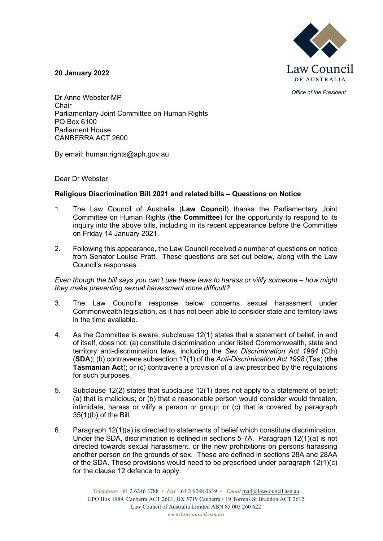

*Office of the President*

**20 January 2022**

Dr Anne Webster MP Chair Parliamentary Joint Committee on Human Rights PO Box 6100 Parliament House CANBERRA ACT 2600

By email: human.rights@aph.gov.au

Dear Dr Webster

# **Religious Discrimination Bill 2021 and related bills – Questions on Notice**

- 1. The Law Council of Australia (**Law Council**) thanks the Parliamentary Joint Committee on Human Rights (**the Committee**) for the opportunity to respond to its inquiry into the above bills, including in its recent appearance before the Committee on Friday 14 January 2021.
- 2. Following this appearance, the Law Council received a number of questions on notice from Senator Louise Pratt. These questions are set out below, along with the Law Council's responses.

*Even though the bill says you can't use these laws to harass or vilify someone – how might they make preventing sexual harassment more difficult?*

- 3. The Law Council's response below concerns sexual harassment under Commonwealth legislation, as it has not been able to consider state and territory laws in the time available.
- 4. As the Committee is aware, subclause 12(1) states that a statement of belief, in and of itself, does not: (a) constitute discrimination under listed Commonwealth, state and territory anti-discrimination laws, including the *Sex Discrimination Act 1984* (Cth) (**SDA**); (b) contravene subsection 17(1) of the *Anti-Discrimination Act 1998* (Tas) (**the Tasmanian Act**); or (c) contravene a provision of a law prescribed by the regulations for such purposes.
- 5. Subclause 12(2) states that subclause 12(1) does not apply to a statement of belief: (a) that is malicious; or (b) that a reasonable person would consider would threaten, intimidate, harass or vilify a person or group; or (c) that is covered by paragraph 35(1)(b) of the Bill.
- 6. Paragraph 12(1)(a) is directed to statements of belief which constitute discrimination. Under the SDA, discrimination is defined in sections 5-7A. Paragraph 12(1)(a) is not directed towards sexual harassment, or the new prohibitions on persons harassing another person on the grounds of sex. These are defined in sections 28A and 28AA of the SDA. These provisions would need to be prescribed under paragraph 12(1)(c) for the clause 12 defence to apply.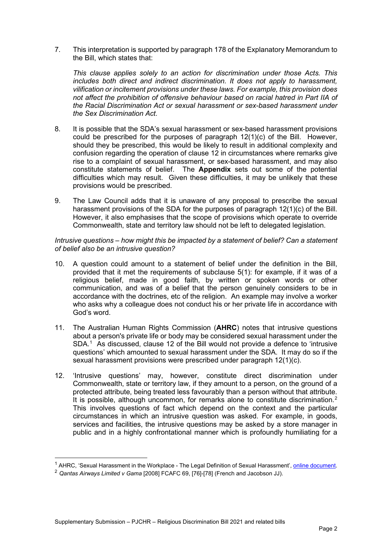7. This interpretation is supported by paragraph 178 of the Explanatory Memorandum to the Bill, which states that:

*This clause applies solely to an action for discrimination under those Acts. This includes both direct and indirect discrimination. It does not apply to harassment, vilification or incitement provisions under these laws. For example, this provision does not affect the prohibition of offensive behaviour based on racial hatred in Part IIA of the Racial Discrimination Act or sexual harassment or sex-based harassment under the Sex Discrimination Act.*

- 8. It is possible that the SDA's sexual harassment or sex-based harassment provisions could be prescribed for the purposes of paragraph 12(1)(c) of the Bill. However, should they be prescribed, this would be likely to result in additional complexity and confusion regarding the operation of clause 12 in circumstances where remarks give rise to a complaint of sexual harassment, or sex-based harassment, and may also constitute statements of belief. The **Appendix** sets out some of the potential difficulties which may result. Given these difficulties, it may be unlikely that these provisions would be prescribed.
- 9. The Law Council adds that it is unaware of any proposal to prescribe the sexual harassment provisions of the SDA for the purposes of paragraph 12(1)(c) of the Bill. However, it also emphasises that the scope of provisions which operate to override Commonwealth, state and territory law should not be left to delegated legislation.

#### *Intrusive questions – how might this be impacted by a statement of belief? Can a statement of belief also be an intrusive question?*

- 10. A question could amount to a statement of belief under the definition in the Bill, provided that it met the requirements of subclause 5(1): for example, if it was of a religious belief, made in good faith, by written or spoken words or other communication, and was of a belief that the person genuinely considers to be in accordance with the doctrines, etc of the religion. An example may involve a worker who asks why a colleague does not conduct his or her private life in accordance with God's word.
- 11. The Australian Human Rights Commission (**AHRC**) notes that intrusive questions about a person's private life or body may be considered sexual harassment under the SDA.<sup>[1](#page-1-0)</sup> As discussed, clause 12 of the Bill would not provide a defence to 'intrusive questions' which amounted to sexual harassment under the SDA. It may do so if the sexual harassment provisions were prescribed under paragraph 12(1)(c).
- 12. 'Intrusive questions' may, however, constitute direct discrimination under Commonwealth, state or territory law, if they amount to a person, on the ground of a protected attribute, being treated less favourably than a person without that attribute. It is possible, although uncommon, for remarks alone to constitute discrimination.<sup>[2](#page-1-1)</sup> This involves questions of fact which depend on the context and the particular circumstances in which an intrusive question was asked. For example, in goods, services and facilities, the intrusive questions may be asked by a store manager in public and in a highly confrontational manner which is profoundly humiliating for a

<span id="page-1-0"></span><sup>&</sup>lt;sup>1</sup> AHRC, 'Sexual Harassment in the Workplace - The Legal Definition of Sexual Harassment', <u>online document</u>.<br><sup>2</sup> *Qantas Airways Limited v Gama* [2008] FCAFC 69, [76]-[78] (French and Jacobson JJ).

<span id="page-1-1"></span>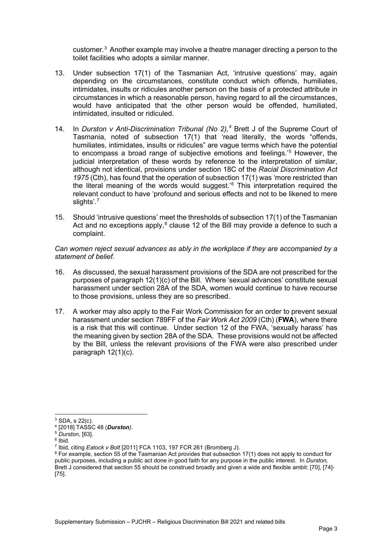customer.[3](#page-2-0) Another example may involve a theatre manager directing a person to the toilet facilities who adopts a similar manner.

- 13. Under subsection 17(1) of the Tasmanian Act, 'intrusive questions' may, again depending on the circumstances, constitute conduct which offends, humiliates, intimidates, insults or ridicules another person on the basis of a protected attribute in circumstances in which a reasonable person, having regard to all the circumstances, would have anticipated that the other person would be offended, humiliated, intimidated, insulted or ridiculed.
- 14. In *Durston v Anti-Discrimination Tribunal (No 2),[4](#page-2-1)* Brett J of the Supreme Court of Tasmania, noted of subsection 17(1) that 'read literally, the words "offends, humiliates, intimidates, insults or ridicules" are vague terms which have the potential to encompass a broad range of subjective emotions and feelings.' [5](#page-2-2) However, the judicial interpretation of these words by reference to the interpretation of similar, although not identical, provisions under section 18C of the *Racial Discrimination Act 1975* (Cth), has found that the operation of subsection 17(1) was 'more restricted than the literal meaning of the words would suggest.'[6](#page-2-3) This interpretation required the relevant conduct to have 'profound and serious effects and not to be likened to mere slights'.[7](#page-2-4)
- 15. Should 'intrusive questions' meet the thresholds of subsection 17(1) of the Tasmanian Act and no exceptions apply, $^8$  $^8$  clause 12 of the Bill may provide a defence to such a complaint.

*Can women reject sexual advances as ably in the workplace if they are accompanied by a statement of belief.* 

- 16. As discussed, the sexual harassment provisions of the SDA are not prescribed for the purposes of paragraph 12(1)(c) of the Bill. Where 'sexual advances' constitute sexual harassment under section 28A of the SDA, women would continue to have recourse to those provisions, unless they are so prescribed.
- 17. A worker may also apply to the Fair Work Commission for an order to prevent sexual harassment under section 789FF of the *Fair Work Act 2009* (Cth) (**FWA**), where there is a risk that this will continue. Under section 12 of the FWA, 'sexually harass' has the meaning given by section 28A of the SDA. These provisions would not be affected by the Bill, unless the relevant provisions of the FWA were also prescribed under paragraph 12(1)(c).

 $3$  SDA, s 22(c).

<span id="page-2-1"></span><span id="page-2-0"></span><sup>4</sup> [2018] TASSC 48 (*Durston)*. 5 *Durston*, [63]. 6 Ibid.

<span id="page-2-2"></span>

<span id="page-2-3"></span><sup>7</sup> Ibid, citing *Eatock v Bolt* [2011] FCA 1103, 197 FCR 261 (Bromberg J).

<span id="page-2-5"></span><span id="page-2-4"></span><sup>8</sup> For example, section 55 of the Tasmanian Act provides that subsection 17(1) does not apply to conduct for public purposes, including a public act done in good faith for any purpose in the public interest. In *Durston,*  Brett J considered that section 55 should be construed broadly and given a wide and flexible ambit: [70], [74]- [75].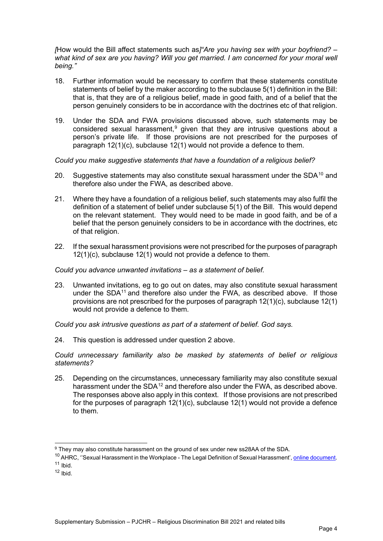*[*How would the Bill affect statements such as*]"Are you having sex with your boyfriend? – what kind of sex are you having? Will you get married. I am concerned for your moral well being."*

- 18. Further information would be necessary to confirm that these statements constitute statements of belief by the maker according to the subclause 5(1) definition in the Bill: that is, that they are of a religious belief, made in good faith, and of a belief that the person genuinely considers to be in accordance with the doctrines etc of that religion.
- 19. Under the SDA and FWA provisions discussed above, such statements may be considered sexual harassment, $9$  given that they are intrusive questions about a person's private life. If those provisions are not prescribed for the purposes of paragraph 12(1)(c), subclause 12(1) would not provide a defence to them.

*Could you make suggestive statements that have a foundation of a religious belief?*

- 20. Suggestive statements may also constitute sexual harassment under the SDA<sup>[10](#page-3-1)</sup> and therefore also under the FWA, as described above.
- 21. Where they have a foundation of a religious belief, such statements may also fulfil the definition of a statement of belief under subclause 5(1) of the Bill. This would depend on the relevant statement. They would need to be made in good faith, and be of a belief that the person genuinely considers to be in accordance with the doctrines, etc of that religion.
- 22. If the sexual harassment provisions were not prescribed for the purposes of paragraph 12(1)(c), subclause 12(1) would not provide a defence to them.

#### *Could you advance unwanted invitations – as a statement of belief.*

23. Unwanted invitations, eg to go out on dates, may also constitute sexual harassment under the  $SDA<sup>11</sup>$  and therefore also under the FWA, as described above. If those provisions are not prescribed for the purposes of paragraph 12(1)(c), subclause 12(1) would not provide a defence to them.

*Could you ask intrusive questions as part of a statement of belief. God says.* 

24. This question is addressed under question 2 above.

*Could unnecessary familiarity also be masked by statements of belief or religious statements?*

25. Depending on the circumstances, unnecessary familiarity may also constitute sexual harassment under the  $SDA^{12}$  $SDA^{12}$  $SDA^{12}$  and therefore also under the FWA, as described above. The responses above also apply in this context. If those provisions are not prescribed for the purposes of paragraph 12(1)(c), subclause 12(1) would not provide a defence to them.

<span id="page-3-0"></span><sup>9</sup> They may also constitute harassment on the ground of sex under new ss28AA of the SDA.

<span id="page-3-2"></span><span id="page-3-1"></span><sup>&</sup>lt;sup>10</sup> AHRC, ''Sexual Harassment in the Workplace - The Legal Definition of Sexual Harassment', <u>online document</u>.<br><sup>11</sup> Ibid.<br><sup>12</sup> Ibid

<span id="page-3-3"></span>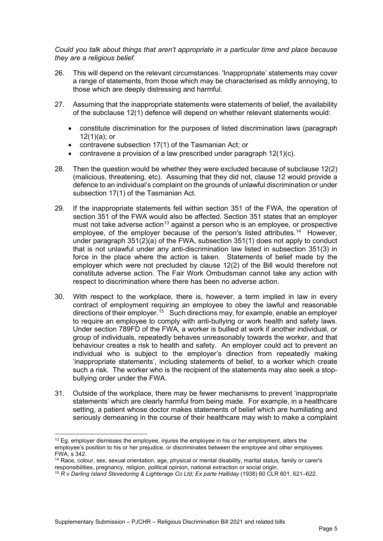*Could you talk about things that aren't appropriate in a particular time and place because they are a religious belief.* 

- 26. This will depend on the relevant circumstances. 'Inappropriate' statements may cover a range of statements, from those which may be characterised as mildly annoying, to those which are deeply distressing and harmful.
- 27. Assuming that the inappropriate statements were statements of belief, the availability of the subclause 12(1) defence will depend on whether relevant statements would:
	- constitute discrimination for the purposes of listed discrimination laws (paragraph 12(1)(a); or
	- contravene subsection 17(1) of the Tasmanian Act; or
	- contravene a provision of a law prescribed under paragraph 12(1)(c).
- 28. Then the question would be whether they were excluded because of subclause 12(2) (malicious, threatening, etc). Assuming that they did not, clause 12 would provide a defence to an individual's complaint on the grounds of unlawful discrimination or under subsection 17(1) of the Tasmanian Act.
- 29. If the inappropriate statements fell within section 351 of the FWA, the operation of section 351 of the FWA would also be affected. Section 351 states that an employer must not take adverse action<sup>[13](#page-4-0)</sup> against a person who is an [employee,](https://www.austlii.edu.au/cgi-bin/viewdoc/au/legis/cth/consol_act/fwa2009114/s789gc.html#employee) or prospective [employee,](https://www.austlii.edu.au/cgi-bin/viewdoc/au/legis/cth/consol_act/fwa2009114/s789gc.html#employee) of the [employer](https://www.austlii.edu.au/cgi-bin/viewdoc/au/legis/cth/consol_act/fwa2009114/s789gc.html#employer) because of the person's listed attributes. [14](#page-4-1) However, under paragraph 351(2)(a) of the FWA, subsection 351(1) does not apply to conduct that is not unlawful under any anti-discrimination law listed in subsection 351(3) in force in the place where the action is taken. Statements of belief made by the employer which were not precluded by clause 12(2) of the Bill would therefore not constitute adverse action. The Fair Work Ombudsman cannot take any action with respect to discrimination where there has been no adverse action.
- 30. With respect to the workplace, there is, however, a term implied in law in every contract of employment requiring an employee to obey the lawful and reasonable directions of their employer.<sup>15</sup> Such directions may, for example, enable an employer to require an employee to comply with anti-bullying or work health and safety laws. Under section 789FD of the FWA, a worker is bullied at work if another individual, or group of individuals, repeatedly behaves unreasonably towards the worker, and that behaviour creates a risk to health and safety. An employer could act to prevent an individual who is subject to the employer's direction from repeatedly making 'inappropriate statements', including statements of belief, to a worker which create such a risk. The worker who is the recipient of the statements may also seek a stopbullying order under the FWA.
- 31. Outside of the workplace, there may be fewer mechanisms to prevent 'inappropriate statements' which are clearly harmful from being made. For example, in a healthcare setting, a patient whose doctor makes statements of belief which are humiliating and seriously demeaning in the course of their healthcare may wish to make a complaint

<span id="page-4-0"></span> $13$  Eq, employer dismisses the employee, injures the employee in his or her employment, alters the employee's position to his or her prejudice, or discriminates between the employee and other employees: FWA, s 342.

<span id="page-4-1"></span><sup>&</sup>lt;sup>14</sup> Race, colour, sex, sexual orientation, age, physical or mental disability, marital status, family or carer's responsibilities, pregnancy, religion, political opinion, national extraction or social origin.

<span id="page-4-2"></span><sup>15</sup> *R v Darling Island Stevedoring & Lighterage Co Ltd; Ex parte Halliday* (1938) 60 CLR 601, 621–622.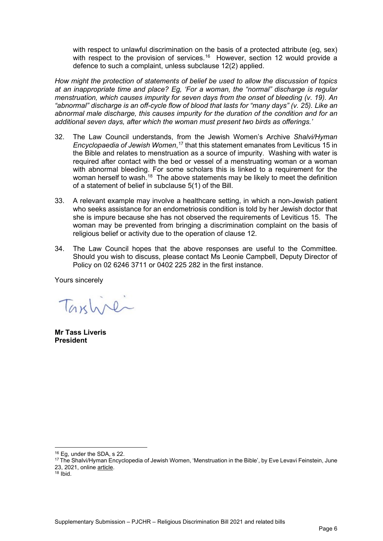with respect to unlawful discrimination on the basis of a protected attribute (eg, sex) with respect to the provision of services.<sup>16</sup> However, section 12 would provide a defence to such a complaint, unless subclause 12(2) applied.

*How might the protection of statements of belief be used to allow the discussion of topics at an inappropriate time and place? Eg, 'For a woman, the "normal" discharge is regular menstruation, which causes impurity for seven days from the onset of bleeding (v. 19). An "abnormal" discharge is an off-cycle flow of blood that lasts for "many days" (v. 25). Like an abnormal male discharge, this causes impurity for the duration of the condition and for an additional seven days, after which the woman must present two birds as offerings.'*

- 32. The Law Council understands, from the Jewish Women's Archive *Shalvi/Hyman Encyclopaedia of Jewish Women*, [17](#page-5-1) that this statement emanates from Leviticus 15 in the Bible and relates to menstruation as a source of impurity. Washing with water is required after contact with the bed or vessel of a menstruating woman or a woman with abnormal bleeding. For some scholars this is linked to a requirement for the woman herself to wash.<sup>[18](#page-5-2)</sup> The above statements may be likely to meet the definition of a statement of belief in subclause 5(1) of the Bill.
- 33. A relevant example may involve a healthcare setting, in which a non-Jewish patient who seeks assistance for an endometriosis condition is told by her Jewish doctor that she is impure because she has not observed the requirements of Leviticus 15. The woman may be prevented from bringing a discrimination complaint on the basis of religious belief or activity due to the operation of clause 12.
- 34. The Law Council hopes that the above responses are useful to the Committee. Should you wish to discuss, please contact Ms Leonie Campbell, Deputy Director of Policy on 02 6246 3711 or 0402 225 282 in the first instance.

Yours sincerely

Taxline

**Mr Tass Liveris President**

<span id="page-5-1"></span><span id="page-5-0"></span><sup>&</sup>lt;sup>16</sup> Eg, under the SDA, s 22.<br><sup>17</sup> [The Shalvi/Hyman Encyclopedia of Jewish Women,](https://jwa.org/encyclopedia) 'Menstruation in the Bible', by [Eve Levavi Feinstein,](https://jwa.org/encyclopedia/author/levavi-feinstein-eve) June 23, 2021, onlin[e article.](https://jwa.org/encyclopedia/article/menstruation-in-the-bible#pid-13388)<br><sup>18</sup> Ibid.

<span id="page-5-2"></span>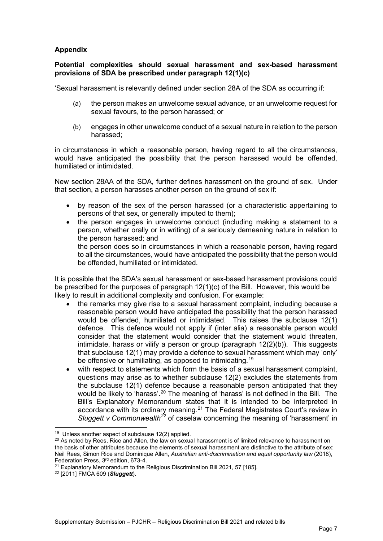## **Appendix**

### **Potential complexities should sexual harassment and sex-based harassment provisions of SDA be prescribed under paragraph 12(1)(c)**

'Sexual harassment is relevantly defined under section 28A of the SDA as occurring if:

- (a) the person makes an unwelcome sexual advance, or an unwelcome request for sexual favours, to the person harassed; or
- (b) engages in other unwelcome [conduct of a sexual nature](http://www.austlii.edu.au/cgi-bin/viewdoc/au/legis/cth/consol_act/sda1984209/s28a.html#conduct_of_a_sexual_nature) in relation to the person harassed;

in circumstances in which a reasonable person, having regard to all the circumstances, would have anticipated the possibility that the person harassed would be offended, humiliated or intimidated.

New section 28AA of the SDA, further defines harassment on the ground of sex. Under that section, a person harasses another person on the ground of sex if:

- by reason of the sex of the person harassed (or a characteristic appertaining to persons of that sex, or generally imputed to them);
- the person engages in unwelcome conduct (including making a statement to a person, whether orally or in writing) of a seriously demeaning nature in relation to the person harassed; and the person does so in circumstances in which a reasonable person, having regard

to all the circumstances, would have anticipated the possibility that the person would be offended, humiliated or intimidated.

It is possible that the SDA's sexual harassment or sex-based harassment provisions could be prescribed for the purposes of paragraph 12(1)(c) of the Bill. However, this would be likely to result in additional complexity and confusion. For example:

- the remarks may give rise to a sexual harassment complaint, including because a reasonable person would have anticipated the possibility that the person harassed would be offended, humiliated or intimidated. This raises the subclause 12(1) defence. This defence would not apply if (inter alia) a reasonable person would consider that the statement would consider that the statement would threaten, intimidate, harass or vilify a person or group (paragraph  $12(2)(b)$ ). This suggests that subclause 12(1) may provide a defence to sexual harassment which may 'only' be offensive or humiliating, as opposed to intimidating.<sup>[19](#page-6-0)</sup>
- with respect to statements which form the basis of a sexual harassment complaint, questions may arise as to whether subclause 12(2) excludes the statements from the subclause 12(1) defence because a reasonable person anticipated that they would be likely to 'harass'.<sup>[20](#page-6-1)</sup> The meaning of 'harass' is not defined in the Bill. The Bill's Explanatory Memorandum states that it is intended to be interpreted in accordance with its ordinary meaning.<sup>[21](#page-6-2)</sup> The Federal Magistrates Court's review in *Sluggett v Commonwealth[22](#page-6-3)* of caselaw concerning the meaning of 'harassment' in

<sup>19</sup> Unless another aspect of subclause 12(2) applied.

<span id="page-6-1"></span><span id="page-6-0"></span> $20$  As noted by Rees, Rice and Allen, the law on sexual harassment is of limited relevance to harassment on the basis of other attributes because the elements of sexual harassment are distinctive to the attribute of sex: Neil Rees, Simon Rice and Dominique Allen, *Australian anti-discrimination and equal opportunity law* (2018), Federation Press, 3rd edition, 673-4.

<span id="page-6-3"></span><span id="page-6-2"></span><sup>21</sup> Explanatory Memorandum to the Religious Discrimination Bill 2021, 57 [185]. 22 [2011] FMCA 609 (*Sluggett*).